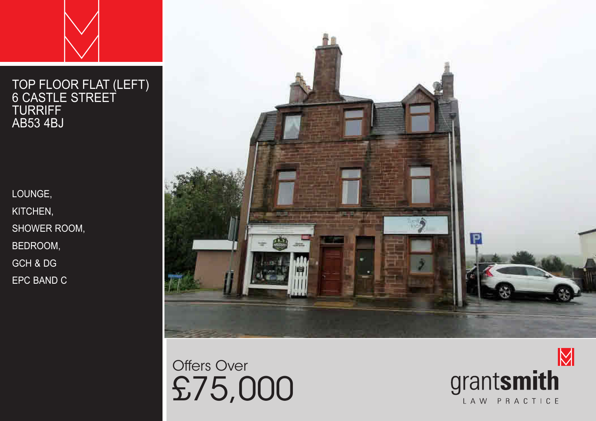# TOP FLOOR FLAT (LEFT)

LOUNGE, KITCHEN, SHOWER ROOM, BEDROOM, GCH & DG EPC BAND C



Offers Over £75,000